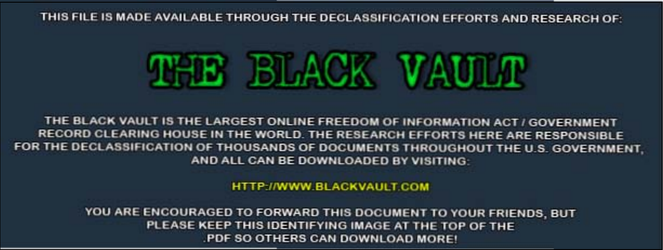THIS FILE IS MADE AVAILABLE THROUGH THE DECLASSIFICATION EFFORTS AND RESEARCH OF:



THE BLACK VAULT IS THE LARGEST ONLINE FREEDOM OF INFORMATION ACT / GOVERNMENT RECORD CLEARING HOUSE IN THE WORLD. THE RESEARCH EFFORTS HERE ARE RESPONSIBLE FOR THE DECLASSIFICATION OF THOUSANDS OF DOCUMENTS THROUGHOUT THE U.S. GOVERNMENT. AND ALL CAN BE DOWNLOADED BY VISITING:

HTTP://WWW.BLACKVAULT.COM

YOU ARE ENCOURAGED TO FORWARD THIS DOCUMENT TO YOUR FRIENDS, BUT PLEASE KEEP THIS IDENTIFYING IMAGE AT THE TOP OF THE PDF SO OTHERS CAN DOWNLOAD MORE!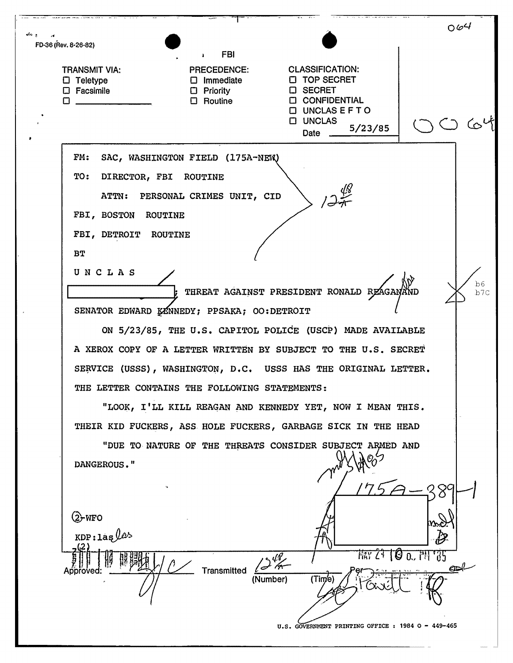|                      |                                                                                                |                                                                                     |                                                                                                                                                                                               | 064                                        |
|----------------------|------------------------------------------------------------------------------------------------|-------------------------------------------------------------------------------------|-----------------------------------------------------------------------------------------------------------------------------------------------------------------------------------------------|--------------------------------------------|
| FD-36 (Rev. 8-26-82) |                                                                                                | <b>FBI</b>                                                                          |                                                                                                                                                                                               |                                            |
| П                    | <b>TRANSMIT VIA:</b><br>$\Box$ Teletype<br>$\square$ Facsimile                                 | л<br><b>PRECEDENCE:</b><br>$\square$ Immediate<br>$\Box$ Priority<br>$\Box$ Routine | <b>CLASSIFICATION:</b><br><b>D</b> TOP SECRET<br><b>D</b> SECRET<br><b>CONFIDENTIAL</b><br><b>O UNCLASEFTO</b><br><b>D</b> UNCLAS<br>5/23/85<br>Date                                          |                                            |
|                      | FM:<br>TO:<br>DIRECTOR, FBI ROUTINE<br>ATTN:<br>FBI, BOSTON<br>ROUTINE<br>FBI, DETROIT ROUTINE | SAC, WASHINGTON FIELD (175A-NEW)<br>PERSONAL CRIMES UNIT, CID                       |                                                                                                                                                                                               |                                            |
|                      | ВT<br>UNCLAS                                                                                   |                                                                                     | ; THREAT AGAINST PRESIDENT RONALD REAGANAND                                                                                                                                                   | b6<br>b7c                                  |
|                      |                                                                                                | SENATOR EDWARD KENNEDY; PPSAKA; OO:DETROIT                                          | ON 5/23/85, THE U.S. CAPITOL POLICE (USCP) MADE AVAILABLE<br>A XEROX COPY OF A LETTER WRITTEN BY SUBJECT TO THE U.S. SECRET<br>SERVICE (USSS), WASHINGTON, D.C. USSS HAS THE ORIGINAL LETTER. |                                            |
|                      |                                                                                                | THE LETTER CONTAINS THE FOLLOWING STATEMENTS:                                       |                                                                                                                                                                                               |                                            |
|                      | DANGEROUS."                                                                                    |                                                                                     | "LOOK, I'LL KILL REAGAN AND KENNEDY YET, NOW I MEAN THIS.<br>THEIR KID FUCKERS, ASS HOLE FUCKERS, GARBAGE SICK IN THE HEAD<br>"DUE TO NATURE OF THE THREATS CONSIDER SUBJECT ARMED AND        |                                            |
|                      | $(2)$ -WFO<br>$KDP: \text{lag}/\ell^2$<br>Approved                                             | <b>Transmitted</b><br>(Number)                                                      | (Tim'e)<br>U.S. GOVERNMENT PRINTING OFFICE : 1984 O - 449-465                                                                                                                                 | <b>MAY 24 6 0. PH 735</b><br>$\mathcal{P}$ |
|                      |                                                                                                |                                                                                     |                                                                                                                                                                                               |                                            |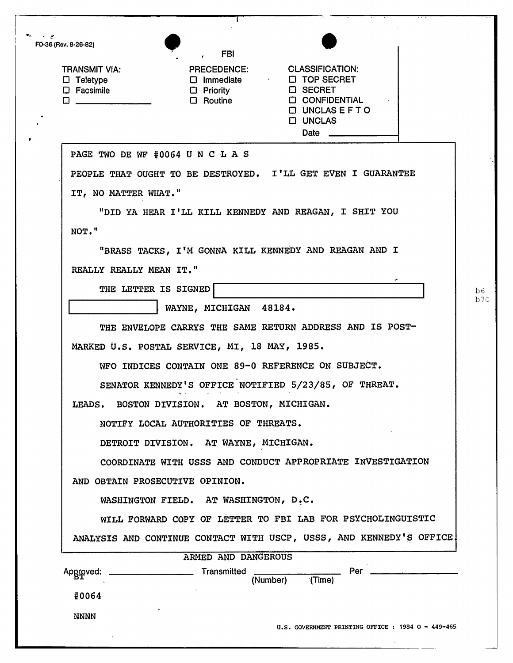| FD-36 (Rev. 8-26-82)                                                     | <b>FBI</b>                                    |                                                                                                                                                                   |
|--------------------------------------------------------------------------|-----------------------------------------------|-------------------------------------------------------------------------------------------------------------------------------------------------------------------|
| <b>TRANSMIT VIA:</b><br>$\Box$ Teletype<br>$\square$ Facsimile<br>$\Box$ | $\Box$ Priority<br>$\Box$ Routine             | PRECEDENCE: CLASSIFICATION:<br>$\Box$ Immediate $\Box$ TOP SECRET<br><b>D</b> SECRET<br><b>C CONFIDENTIAL</b><br>$\Box$ UNCLAS E F T O<br><b>C UNCLAS</b><br>Date |
| PAGE TWO DE WF #0064 U N C L A S                                         |                                               |                                                                                                                                                                   |
|                                                                          |                                               | PEOPLE THAT OUGHT TO BE DESTROYED. I'LL GET EVEN I GUARANTEE                                                                                                      |
| IT, NO MATTER WHAT."                                                     |                                               |                                                                                                                                                                   |
|                                                                          |                                               | "DID YA HEAR I'LL KILL KENNEDY AND REAGAN, I SHIT YOU                                                                                                             |
| NOT."                                                                    |                                               |                                                                                                                                                                   |
|                                                                          |                                               | "BRASS TACKS, I'M GONNA KILL KENNEDY AND REAGAN AND I                                                                                                             |
| REALLY REALLY MEAN IT."                                                  |                                               |                                                                                                                                                                   |
| THE LETTER IS SIGNED                                                     |                                               |                                                                                                                                                                   |
|                                                                          | WAYNE, MICHIGAN 48184.                        |                                                                                                                                                                   |
|                                                                          |                                               | THE ENVELOPE CARRYS THE SAME RETURN ADDRESS AND IS POST-                                                                                                          |
|                                                                          | MARKED U.S. POSTAL SERVICE, MI, 18 MAY, 1985. |                                                                                                                                                                   |
|                                                                          |                                               | WFO INDICES CONTAIN ONE 89-0 REFERENCE ON SUBJECT.                                                                                                                |
|                                                                          |                                               | SENATOR KENNEDY'S OFFICE NOTIFIED 5/23/85, OF THREAT.                                                                                                             |
|                                                                          | LEADS. BOSTON DIVISION. AT BOSTON, MICHIGAN.  |                                                                                                                                                                   |
|                                                                          | NOTIFY LOCAL AUTHORITIES OF THREATS.          |                                                                                                                                                                   |
|                                                                          | DETROIT DIVISION. AT WAYNE, MICHIGAN.         |                                                                                                                                                                   |
|                                                                          |                                               | COORDINATE WITH USSS AND CONDUCT APPROPRIATE INVESTIGATION                                                                                                        |
| AND OBTAIN PROSECUTIVE OPINION.                                          |                                               |                                                                                                                                                                   |
|                                                                          | WASHINGTON FIELD. AT WASHINGTON, D.C.         |                                                                                                                                                                   |
|                                                                          |                                               | WILL FORWARD COPY OF LETTER TO FBI LAB FOR PSYCHOLINGUISTIC                                                                                                       |
|                                                                          |                                               | ANALYSIS AND CONTINUE CONTACT WITH USCP, USSS, AND KENNEDY'S OFFICE.                                                                                              |
| Apgroved:                                                                | ARMED AND DANGEROUS                           | (Number)<br>(Time)                                                                                                                                                |
| #0064                                                                    |                                               |                                                                                                                                                                   |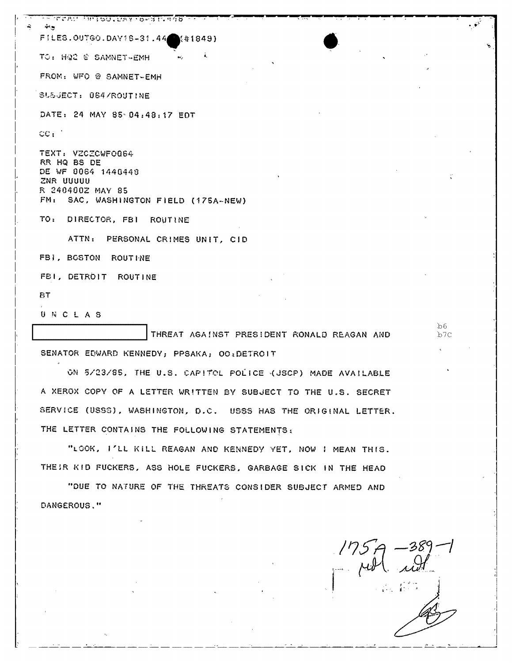LES WELL AND A POLITICAL ARRAIGNMENT  $\hat{\mathbf{w}}$  ,  $\mathbf{w}$ FILES.00760.DAY16-31.44 (#1849) TO: HQ2 @ SAMNET-EMH FROM: WFO @ SAMNET-EMH SL&JECT: 064/ROUTINE DATE: 24 MAY 85 04:48:17 EDT  $cc<sub>t</sub>$ . TEXT: VZCZCWFO064 RR HQ BS DE DE WF 0064 1440448 ZNR UUUUU R 240400Z MAY 85 FM: SAC, WASHINGTON FIELD (175A-NEW) TO: DIRECTOR, FBI ROUTINE ATTN: PERSONAL CRIMES UNIT, CID FBI, BOSTON ROUTINE FBI, DETROIT ROUTINE **BT** UNCLAS THREAT AGAINST PRESIDENT RONALD REAGAN AND SENATOR EDWARD KENNEDY, PPSAKA, OO: DETROIT ON 5/23/85, THE U.S. CAPITOL POLICE (USCP) MADE AVAILABLE A XEROX COPY OF A LETTER WRITTEN BY SUBJECT TO THE U.S. SECRET SERVICE (USSS), WASHINGTON, D.C. USSS HAS THE ORIGINAL LETTER. THE LETTER CONTAINS THE FOLLOWING STATEMENTS:

"LOOK, I'LL KILL REAGAN AND KENNEDY YET, NOW I MEAN THIS. THEIR KID FUCKERS, ASS HOLE FUCKERS, GARBAGE SICK IN THE HEAD

"DUE TO NATURE OF THE THREATS CONSIDER SUBJECT ARMED AND DANGEROUS."

 $\bullet$   $\bullet$ 

h6

 $b7c$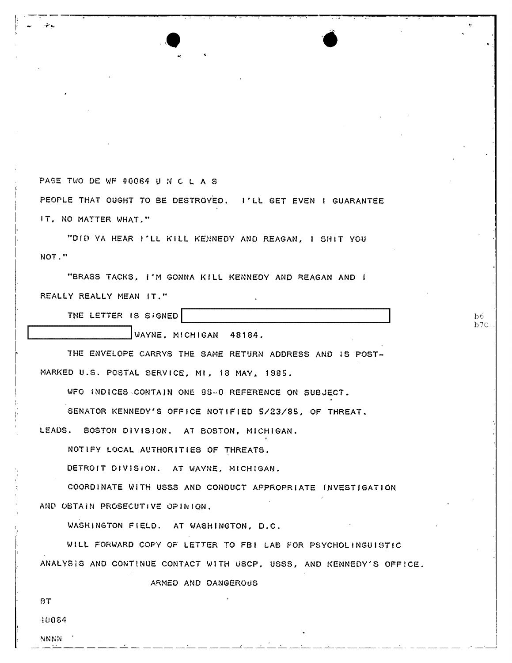PAGE TWO DE WF #0064 U N C L A S

I; ----  $\vert\cdot\vert$ اند است.  $\vert\cdot\vert$ 

I i I I· I,

I

PEOPLE THAT OUGHT TO BE DESTROYED. I'LL GET EVEN I GUARANTEE IT. NO MATTER WHAT."

 $\bullet$  .  $\bullet$ 

"DID YA HEAR I'LL KILL KENNEDY AND REAGAN, I SHIT YOU NOT."

"BRASS TACKS, I'M GONNA KILL KENNEDY AND REAGAN AND I REALLY REALLY MEAN IT."

THE LETTER IS SIGNED

**WAYNE, MICHIGAN 48184.** 

THE ENVELOPE CARRVS THE SAME RETURN ADDRESS AND 1S POST-MARKED U.S. POSTAL SERVICE, MI, 18 MAY, 1985.

 $b6$ b7C

WFO INDICES ,CONTAIN ONE 89-0 REFERENCE ON SUBJECT.

SENATOR KENNEDY'S OFFICE NOTIFIED 5/23/85, OF THREAT.

LEADS. BOSTON DIVISION. AT BOSTON, MICHIGAN.

NOTlFY LOCAL AUTHORITIES OF THREATS.

DETROIT OJVISION. AT WAYNE. MICHlGAN.

COORDINATE WITH USSS AND CONDUCT APPROPRIATE INVESTIGATION AND OBTAiN PRoseCUTIVE OPINION.

WASHiNGTON FIELD. AT WASH1NGTON. D.C.

WILL FORWARD COpy OF LETTER TO FBI LAB FOR PSYCHOLINGUIBTfC ANALYSIS AND CONTINUE CONTACT WITH USCP, USSS, AND KENNEDY'S OFFICE.

ARMED AND DANGEROUS

BT

 $\mathsf{P}$ 

W064

NNNN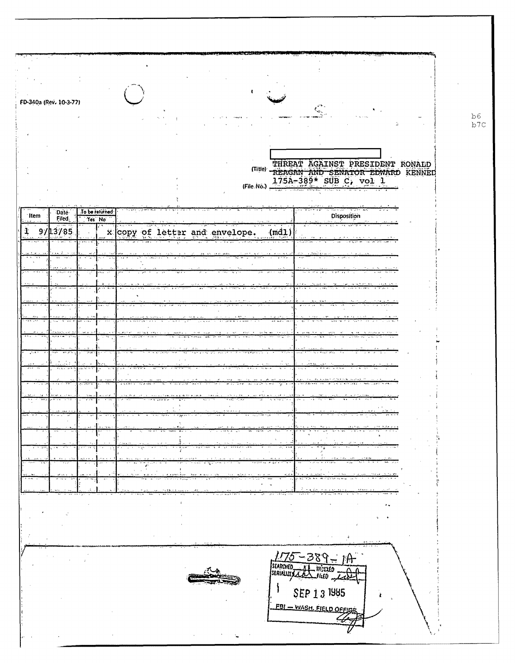|       | FD-340a (Rev. 10-3-77) |                |                                |  |  |      |                                                                   |       |
|-------|------------------------|----------------|--------------------------------|--|--|------|-------------------------------------------------------------------|-------|
|       |                        |                |                                |  |  |      |                                                                   | $p$ e |
|       |                        |                |                                |  |  |      |                                                                   | b7c   |
|       |                        |                |                                |  |  |      |                                                                   |       |
|       |                        |                |                                |  |  |      | THREAT AGAINST PRESIDENT RONALD                                   |       |
|       |                        |                |                                |  |  |      | Title) REAGAN AND SENATOR EDWARD KENNED<br>175A-389* SUB C, vol 1 |       |
|       |                        |                |                                |  |  |      |                                                                   |       |
| ∵Item | <b>Date</b><br>Filed.  | To be returned |                                |  |  |      | Disposition                                                       |       |
| 1     | 9/13/85                | Yes No         | x copy of letter and envelope. |  |  | (md) |                                                                   |       |
|       |                        |                |                                |  |  |      |                                                                   |       |
|       |                        |                |                                |  |  |      |                                                                   |       |
|       |                        |                |                                |  |  |      |                                                                   |       |
|       |                        |                |                                |  |  |      |                                                                   |       |
|       |                        |                |                                |  |  |      |                                                                   |       |
|       |                        |                |                                |  |  |      |                                                                   |       |
|       |                        |                |                                |  |  |      |                                                                   |       |
|       |                        |                |                                |  |  |      |                                                                   |       |
|       |                        |                |                                |  |  |      |                                                                   |       |
|       |                        |                |                                |  |  |      |                                                                   |       |
|       |                        |                |                                |  |  |      |                                                                   |       |
|       |                        |                |                                |  |  |      | $-1$ + $-1$ + $-1$<br>- <del>1999</del>                           |       |
|       |                        |                |                                |  |  |      |                                                                   |       |
|       |                        |                |                                |  |  |      |                                                                   |       |
|       |                        |                |                                |  |  |      |                                                                   |       |
|       |                        |                |                                |  |  |      |                                                                   |       |
|       |                        |                |                                |  |  |      |                                                                   |       |
|       |                        |                |                                |  |  |      |                                                                   |       |
|       |                        |                |                                |  |  |      | $\rightarrow$                                                     |       |
|       |                        |                |                                |  |  |      |                                                                   |       |
|       |                        |                |                                |  |  |      | $175 - 389 - 10$                                                  |       |
|       |                        |                |                                |  |  |      |                                                                   |       |
|       |                        |                |                                |  |  |      | SEP 1 3 1985                                                      |       |
|       |                        |                |                                |  |  |      | <b>EBI</b> - WASH, FIELD OFFICE                                   |       |
|       |                        |                |                                |  |  |      |                                                                   |       |
|       |                        |                |                                |  |  |      |                                                                   |       |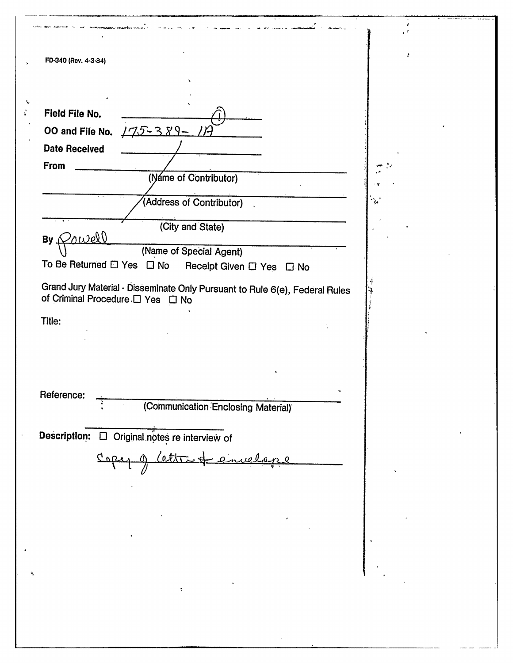| FD-340 (Rev. 4-3-84)                                                        | ÷         |
|-----------------------------------------------------------------------------|-----------|
|                                                                             |           |
|                                                                             |           |
| Field File No.                                                              |           |
| 00 and File No. $175 - 389 - 17$                                            |           |
| <b>Date Received</b>                                                        |           |
| From                                                                        |           |
| (Náme of Contributor)                                                       |           |
| (Address of Contributor)                                                    | $\cdot$ . |
|                                                                             |           |
| (City and State)<br>$By$ $Qowel$                                            |           |
| (Name of Special Agent)                                                     |           |
| To Be Returned □ Yes □ No<br>Receipt Given $\square$ Yes $\square$ No       |           |
| Grand Jury Material - Disseminate Only Pursuant to Rule 6(e), Federal Rules |           |
| of Criminal Procedure D Yes D No                                            |           |
| Title:                                                                      |           |
|                                                                             |           |
|                                                                             |           |
|                                                                             |           |
| Reference:                                                                  |           |
| (Communication Enclosing Material)                                          |           |
|                                                                             |           |
|                                                                             |           |
| Description:<br>$\Box$ Original notes re interview of                       |           |
|                                                                             |           |
|                                                                             |           |
|                                                                             |           |
|                                                                             |           |
|                                                                             |           |
|                                                                             |           |
|                                                                             |           |
|                                                                             |           |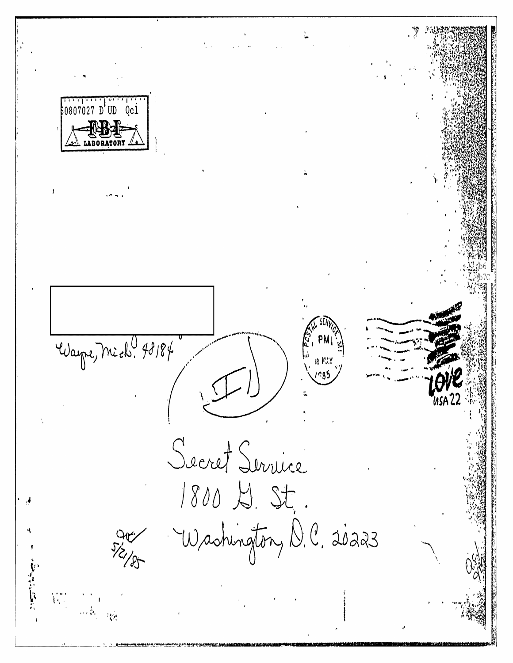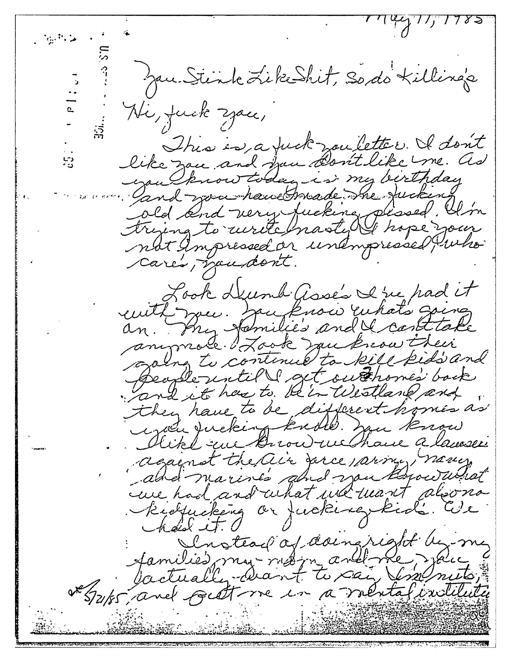$(144)$  17785 ما ڪيون Jan Stink Like Shit, So do Killing's Hi, fuck zace, This is a fuck wouldter. I don't like zon and from Dont like me. as upulknow today is my birthday Gand you have breade the fucking cold and very fucking pleased. I'm trying to write masty to hope your nbt Ampressed or unampressed unko cares, mandont. Look Deumh Gose's I've had it cuité jou. Jou know unats going anymore of Look muknow their craing to continue to kill kids and Speaple until get outhome's back and it has to be in Westland and they have to be different homes as regale Jucking knows. you know Aike au Browne Chance a lanser against the air serce parme, novem and marines and you know what care had and what we want alsona Kielpucking or fucking kids. We  $-k$ disk it. Sinstead of daingright be me Jamilies, mui moi marbline, joue Ve System and fact me in a mental indituité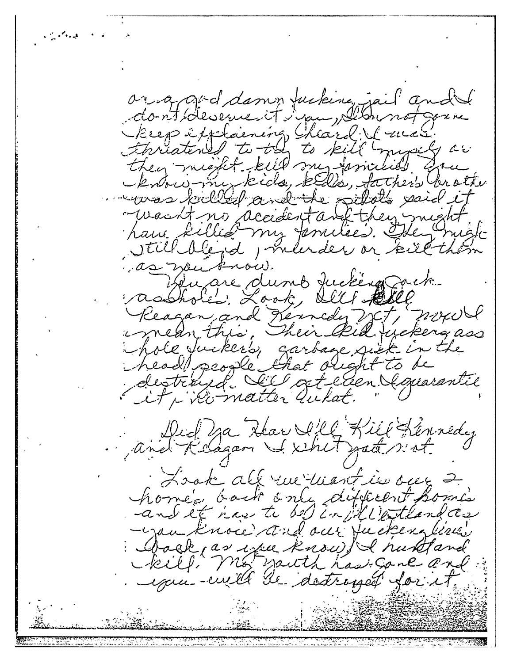الجاروا والمحارث aring and damen fucking jail and the dont devement i pu plannot garne keep its laening heard & west.<br>Finatened to the to kill myself ar they might kill my families are know-my kids, kells, father brother woos killed and the subdy said it -wasn't no accidentant they might have killed my families. Hey might Still dégred, marder or kill them as mentron. Quare dumb fuction acte asshoted Look, Sell tell Reagan and Kennedy W.T, MANN i mean this, Their Rid tycking ass hole Juckers, garbage sick in the head people that olight to be distrined Sill actellen Gaussentie Did Va Kar S'll Kill Kennedy.<br>And Reagan Skehit Jate nat Look all rue want in one 2 home back only difficent homes Chack as we know I huntand kill mot youth has gone and example de detropée for et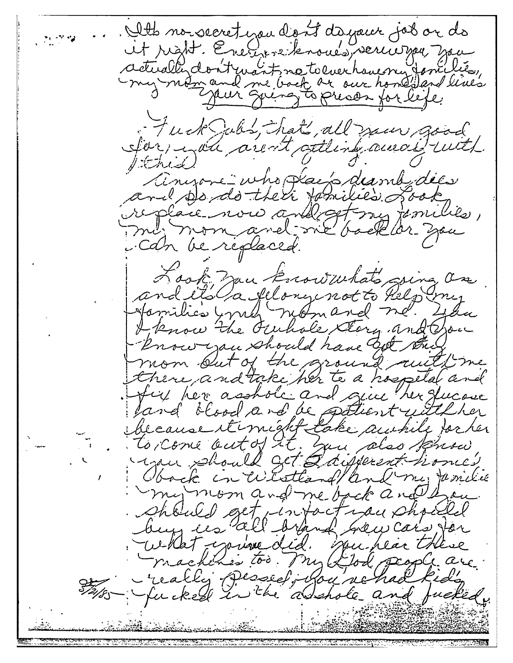Alts no secret you dign't dayant job or do it right. Energise knows, verwonner you actually dont mant ne tolverhouerry fonclier, Fuck Julis, hats, all your good Ser, i aux arent attent aucce d'uit.  $|#$ and Dondo Milien dans dées Can be replaced. Look zan knowwhats sing on and et da felongenot to help my I know the Funnale Story and Oron know you should have bet the mom but of the ground auth me there and take her to a hospital and ful her asshole and give her fucase land blood and be patient with her bécause itimist take autile partir Oback in Westland/and me, Jamilie my moon and me back and have Should get intact you should buy ies all brand Grew car's for culat course did. spu hear there machines too. My Llod people are -really persed, had rehad kids The fucked in the abshole and fucked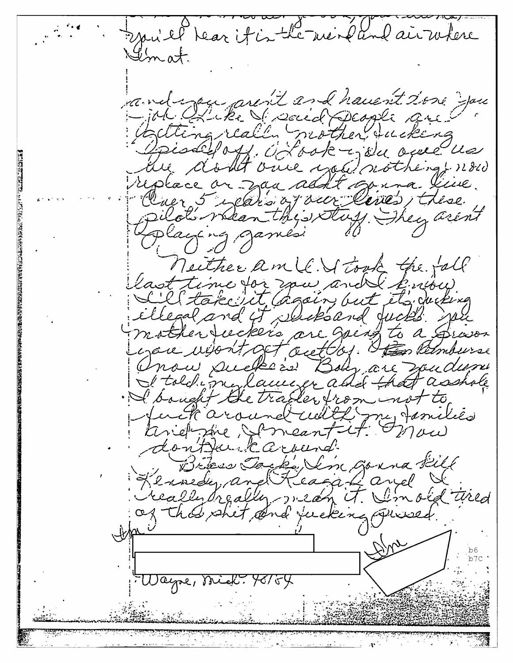sai el tear it is the mendand air where condizon aren't and haven't tone you -job all the Si social people are Opisal off. Octook is we open us the doubt once was nothing now ruplace on zaa addt op ina live. Cluer 5 exparts of our lives, these pilot's whean the stuff. They aren't playing games: Neither am le Vitook the fall L'él take sit (again, but éts ducking ellegal and it slicks and jucks so mother tuckers are going to a proven you won't get aut by. He Remburse Onou sucheau Boly, are soudant He told my lawser and that asshote Huck around will my families Kinefinie Someantit Onow dontfank around Brass Jacks Sin Gorna fill Kennedy, and Keaga & and & of this shit and fucking quied. Wayne, Mick: 98754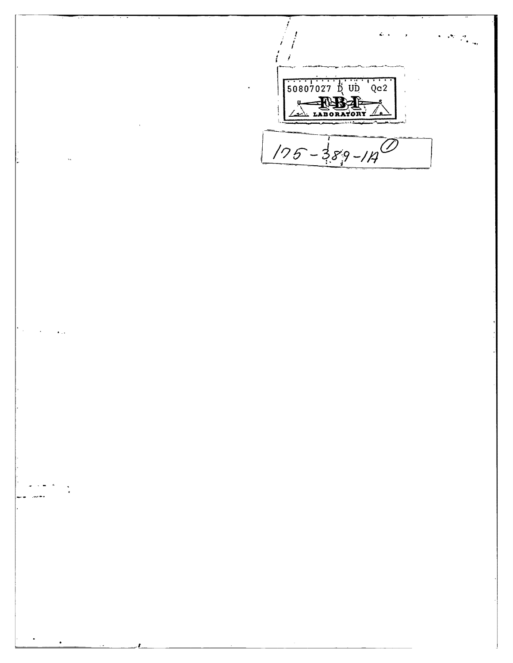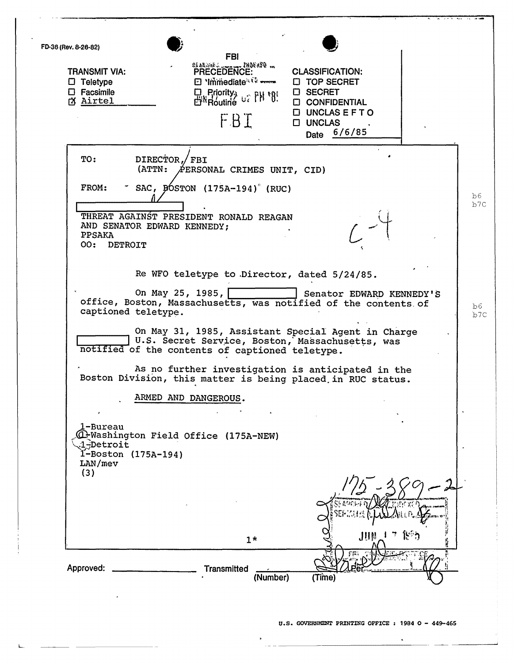FD-36 (Rev. 8-26-82)<br>
FBI<br>
TRANSMIT VIA: PRECEDENCE: CLASSIFICATION TRANSMIT VIA:  $\overline{P}$   $\overline{P}$   $\overline{P}$   $\overline{P}$   $\overline{C}$   $\overline{C}$   $\overline{C}$   $\overline{C}$   $\overline{C}$   $\overline{C}$   $\overline{C}$   $\overline{C}$   $\overline{C}$   $\overline{C}$   $\overline{C}$   $\overline{C}$   $\overline{C}$   $\overline{C}$   $\overline{C}$   $\overline{C}$   $\overline{C}$   $\overline{C}$   $\overline{C}$   $\square$  Teletype<br> $\square$  Facsimile o TOP SECRET 口 Priority<sub>3</sub> u2 PH \*85 o SECRET  $\upbeta$  Airtel **CONFIDENTIAL**  $D$  UNCLAS EFT O FBT o UNCLAS Date 6/6/85 TO: DIRECTOR, FBI<br>(ATTN: PERSO  $A$ ERSONAL CRIMES UNIT, CID) FROM:  $\sim$  SAC, BOSTON (175A-194)<sup>°</sup> (RUC)  $b6$ b7C THREAT AGAINST PRESIDENT RONALD REAGAN AND SENATOR EDWARD KENNEDY; PPSAKA 00: DETROIT Re WFO teletype to .Director, dated 5/24/85. On May 25, 1985, Senator EDWARD KENNEDY'S office, Boston, Massachusetts, was notified of the contents. of b6 captioned teletype.  $\frac{1}{b7C}$ On May 31, 1985, Assistant Special Agent in Charge **U.S. Secret Service, Boston, Massachusetts**, was notified of the contents of captioned teletype. As no further investigation is anticipated in the Boston Division, this matter is being placed. in RUC status. ARMED AND DANGEROUS. .1-Bureau (Q-Washington Field Office (175A-NEW) ~~Detro1t I-Boston (175A-194) LAN/mev (3) 1\* Approved: Transmitted (Number) (Time)

L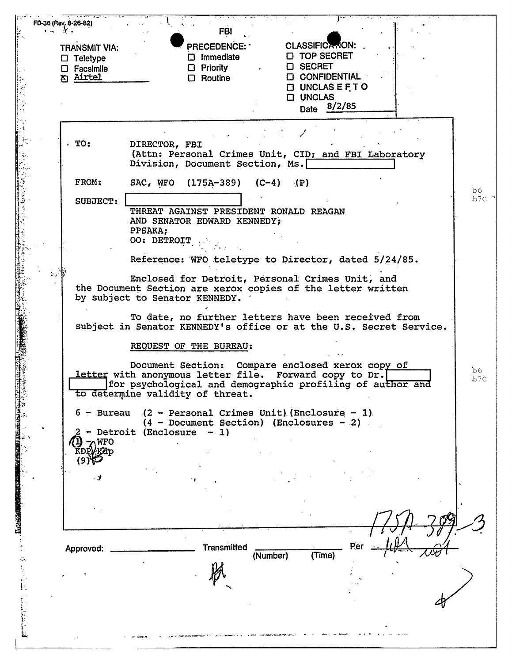|                                         | <b>FBI</b><br><b>CLASSIFICATION:</b><br><b>PRECEDENCE:</b>                              |  |
|-----------------------------------------|-----------------------------------------------------------------------------------------|--|
| <b>TRANSMIT VIA:</b><br>$\Box$ Teletype | <b>D</b> TOP SECRET<br>$\square$ Immediate                                              |  |
| $\square$ Facsimile                     | <b>D SECRET</b><br>$\Box$ Priority                                                      |  |
| <b>n</b> Airtel                         | <b>CONFIDENTIAL</b><br>$\Box$ Routine<br>$\Box$ UNCLAS E F T O                          |  |
|                                         | <b>D UNCLAS</b>                                                                         |  |
|                                         | Date 8/2/85                                                                             |  |
|                                         |                                                                                         |  |
| $\cdot$ TO:                             | DIRECTOR, FBI                                                                           |  |
|                                         | (Attn: Personal Crimes Unit, CID; and FBI Laboratory<br>Division, Document Section, Ms. |  |
| FROM:                                   | SAC, WFO<br>$(175A-389)$ $(C-4)$ $(P)$                                                  |  |
| SUBJECT:                                |                                                                                         |  |
|                                         | THREAT AGAINST PRESIDENT RONALD REAGAN<br>AND SENATOR EDWARD KENNEDY;                   |  |
|                                         | PPSAKA;                                                                                 |  |
|                                         | OO: DETROIT                                                                             |  |
|                                         | Reference: WFO teletype to Director, dated 5/24/85.                                     |  |
|                                         | Enclosed for Detroit, Personal Crimes Unit, and                                         |  |
|                                         | the Document Section are xerox copies of the letter written                             |  |
|                                         | by subject to Senator KENNEDY.                                                          |  |
|                                         | To date, no further letters have been received from                                     |  |
|                                         | subject in Senator KENNEDY's office or at the U.S. Secret Service.                      |  |
|                                         | REQUEST OF THE BUREAU:                                                                  |  |
|                                         | Document Section: Compare enclosed xerox copy of                                        |  |
|                                         | letter with anonymous letter file. Forward copy to Dr.                                  |  |
|                                         | for psychological and demographic profiling of au <del>thor and</del>                   |  |
|                                         | to determine validity of threat.                                                        |  |
| $6 - B$ ureau                           | $(2 - Personal$ Crimes Unit) (Enclosure - 1)                                            |  |
|                                         | $(4 - Document Section)$ (Enclosures - 2)<br>- Detroit (Enclosure<br>$-1)$              |  |
| <b>NFO</b>                              |                                                                                         |  |
|                                         |                                                                                         |  |
|                                         |                                                                                         |  |
|                                         |                                                                                         |  |
|                                         |                                                                                         |  |
|                                         |                                                                                         |  |
|                                         |                                                                                         |  |
|                                         | Per                                                                                     |  |
| Approved:                               | <b>Transmitted</b><br>(Time)<br>(Number)                                                |  |
|                                         |                                                                                         |  |
|                                         |                                                                                         |  |
|                                         |                                                                                         |  |
|                                         |                                                                                         |  |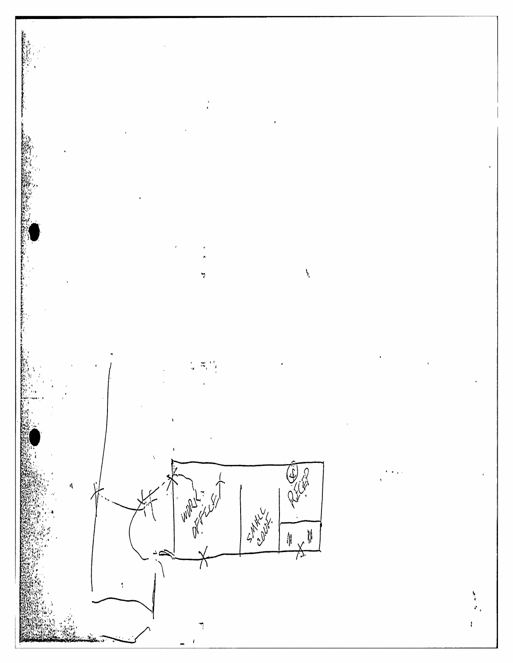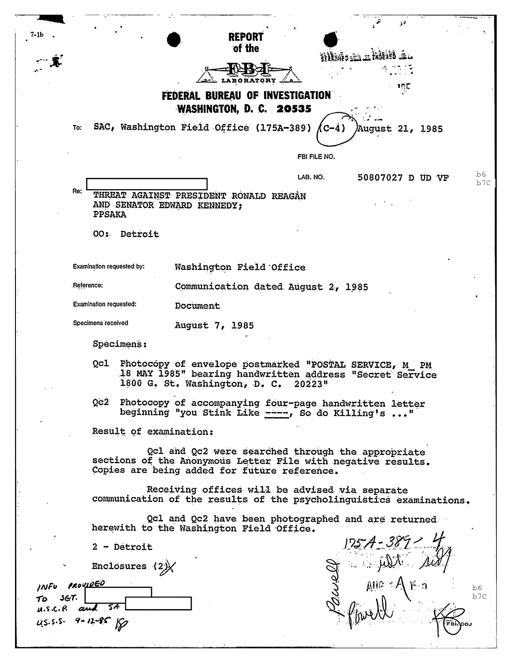| 7-1b |                           |                        |                                                                                                                                                                   |              | N                                                                   |            |
|------|---------------------------|------------------------|-------------------------------------------------------------------------------------------------------------------------------------------------------------------|--------------|---------------------------------------------------------------------|------------|
|      |                           |                        | <b>REPORT</b><br>of the                                                                                                                                           |              |                                                                     |            |
|      |                           |                        |                                                                                                                                                                   |              |                                                                     |            |
|      |                           |                        |                                                                                                                                                                   |              |                                                                     |            |
|      |                           |                        | LABORATORY .                                                                                                                                                      |              | תתי                                                                 |            |
|      |                           |                        | FEDERAL BUREAU OF INVESTIGATION                                                                                                                                   |              |                                                                     |            |
|      |                           |                        | WASHINGTON, D. C. 20535                                                                                                                                           |              |                                                                     |            |
|      | To:                       |                        | SAC, Washington Field Office (175A-389)                                                                                                                           | (C-4)        | <b>August 21, 1985</b>                                              |            |
|      |                           |                        |                                                                                                                                                                   |              |                                                                     |            |
|      |                           |                        |                                                                                                                                                                   | FBI FILE NO. |                                                                     |            |
|      |                           |                        |                                                                                                                                                                   | LAB. NO.     | 50807027 D UD VF                                                    | b6.<br>b7C |
|      | Re:                       |                        | THREAT AGAINST PRESIDENT RONALD REAGAN                                                                                                                            |              |                                                                     |            |
|      | PPSAKA                    |                        | AND SENATOR EDWARD KENNEDY;                                                                                                                                       |              |                                                                     |            |
|      | ·00 ‡.                    | Detroit                |                                                                                                                                                                   |              |                                                                     |            |
|      |                           |                        |                                                                                                                                                                   |              |                                                                     |            |
|      | Examination requested by: |                        |                                                                                                                                                                   |              |                                                                     |            |
|      |                           |                        | Washington Field Office                                                                                                                                           |              |                                                                     |            |
|      | Reference:                |                        | Communication dated August 2, 1985                                                                                                                                |              |                                                                     |            |
|      | Examination requested:    |                        | Document                                                                                                                                                          |              |                                                                     |            |
|      | Specimens received        |                        | August 7, 1985                                                                                                                                                    |              |                                                                     |            |
|      |                           | Specimens:             |                                                                                                                                                                   |              |                                                                     |            |
|      | Qcl                       |                        | Photocopy of envelope postmarked "POSTAL SERVICE, M PM<br>18 MAY 1985" bearing handwritten address "Secret Service<br>1800 G. St. Washington, D. C. 20223"        |              |                                                                     |            |
|      |                           |                        | Qc2 Photocopy of accompanying four-page handwritten letter<br>beginning "you Stink Like ----, So do Killing's "                                                   |              |                                                                     |            |
|      |                           | Result of examination: |                                                                                                                                                                   |              |                                                                     |            |
|      |                           |                        |                                                                                                                                                                   |              |                                                                     |            |
|      |                           |                        | Qcl and Qc2 were searched through the appropriate<br>sections of the Anonymous Letter File with negative results.<br>Copies are being added for future reference. |              |                                                                     |            |
|      |                           |                        | Receiving offices will be advised via separate                                                                                                                    |              | communication of the results of the psycholinguistics examinations. |            |
|      |                           |                        | Qcl and Qc2 have been photographed and are returned<br>herewith to the Washington Field Office.                                                                   |              | $125.4 - 38.7 - 4.8$                                                |            |
|      |                           | $2 -$ Detroit          |                                                                                                                                                                   |              |                                                                     |            |
|      |                           | Enclosures $(2)$       |                                                                                                                                                                   |              |                                                                     |            |
|      | INFU PROVIDED             |                        |                                                                                                                                                                   |              |                                                                     | b6         |
|      | 3G7.                      |                        |                                                                                                                                                                   |              |                                                                     | b7c        |
|      | $u.s.c.P.$ and $5A$       |                        |                                                                                                                                                                   |              |                                                                     |            |
|      | us.s.s. 9-12-85 150       |                        |                                                                                                                                                                   |              |                                                                     |            |
|      |                           |                        |                                                                                                                                                                   |              |                                                                     |            |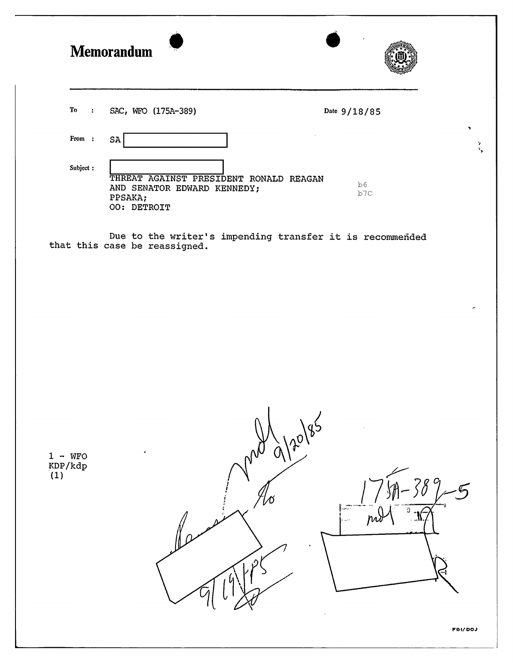|                               | <b>Memorandum</b>                                                                               |                    |
|-------------------------------|-------------------------------------------------------------------------------------------------|--------------------|
| To<br>$\sim$                  | SAC, WFO (175A-389)                                                                             | Date 9/18/85       |
| From:                         | SA                                                                                              | ٠<br>$\frac{2}{3}$ |
| Subject:                      | THREAT AGAINST PRESIDENT RONALD REAGAN<br>AND SENATOR EDWARD KENNEDY;<br>PPSAKA;<br>OO: DETROIT | b6<br>b7c          |
|                               | Due to the writer's impending transfer it is recommended<br>that this case be reassigned.       |                    |
| $1 - WFO$<br>$KDP/kdp$<br>(1) | 120/85                                                                                          | FBI/DOJ            |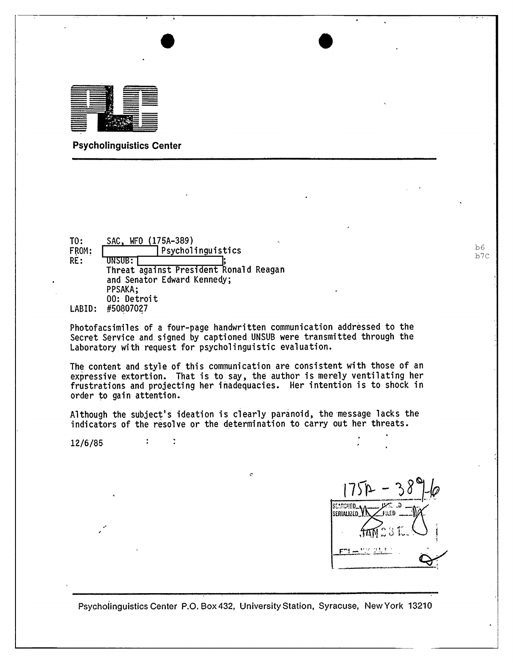

Psycholinguistics Center

TO: FROM: RE: LABID: #50807027  $\frac{\text{SAC, WFO} \ (175A-389)}{\text{Psycholinguistics}}$ Threat against President Ronald Reagan<br>and Senator Edward Kennedy;<br>PPSAKA; 00: Detroit

Photofacsimiles of a four-page handwritten communication addressed to the Secret Service and signed by captioned UNSUB were transmitted through the Laboratory with request for psycholinguistic evaluation.

The content and style of this communication are consistent with those of an expressive extortion. That is to say, the author is merely ventilating her frustrations and projecting her inadequacies. Her intention is to shock in order to gain attention.

Although the subject's ideation is clearly paranoid, the 'message lacks the indicators of the resolve or the determination to carry out her threats.

Ó

12/6/85

 $\mathcal{L}^{\pm}$ 

 $\frac{1}{2}$ 

SEARCHED ... serialized VI

•

Psychoj'inguistics Center P.O. Box432, University Station, Syracuse, New York 13210

 $b6$ b7C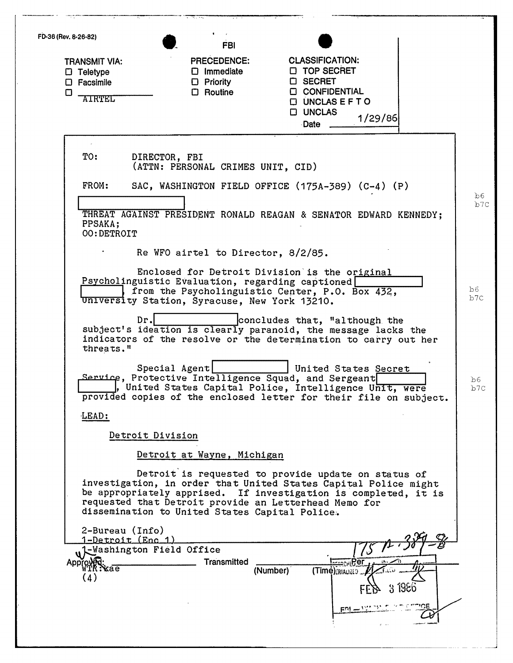| FD-36 (Rev. 8-26-82) |                                                                                 | <b>FBI</b>                                                                                              |                                                                                                                                                                                           |            |
|----------------------|---------------------------------------------------------------------------------|---------------------------------------------------------------------------------------------------------|-------------------------------------------------------------------------------------------------------------------------------------------------------------------------------------------|------------|
| □                    | <b>TRANSMIT VIA:</b><br>$\Box$ Teletype<br>$\square$ Facsimile<br><b>AIRTEL</b> | <b>PRECEDENCE:</b><br>$\square$ Immediate<br>$\Box$ Priority<br>$\Box$ Routine                          | <b>CLASSIFICATION:</b><br><b>D</b> TOP SECRET<br><b>D</b> SECRET<br><b>CONFIDENTIAL</b><br><b>DUNCLASEFTO</b><br><b>D UNCLAS</b><br>1/29/86<br>Date _                                     |            |
|                      | TO:                                                                             | DIRECTOR, FBI<br>(ATTN: PERSONAL CRIMES UNIT, CID)                                                      |                                                                                                                                                                                           |            |
|                      | FROM:                                                                           |                                                                                                         | SAC, WASHINGTON FIELD OFFICE (175A-389) (C-4) (P)                                                                                                                                         |            |
|                      | PPSAKA;<br>OO: DETROIT                                                          |                                                                                                         | THREAT AGAINST PRESIDENT RONALD REAGAN & SENATOR EDWARD KENNEDY;                                                                                                                          | b6<br>b7C  |
|                      |                                                                                 | Re WFO airtel to Director, 8/2/85.                                                                      |                                                                                                                                                                                           |            |
|                      |                                                                                 | Psycholinguistic Evaluation, regarding captioned<br>University Station, Syracuse, New York 13210.       | Enclosed for Detroit Division is the original<br>from the Psycholinguistic Center, P.O. Box 432,                                                                                          | b6<br>b7C  |
|                      | threats."                                                                       | Dr.                                                                                                     | concludes that, "although the<br>subject's ideation is clearly paranoid, the message lacks the<br>indicators of the resolve or the determination to carry out her                         |            |
|                      |                                                                                 | Special Agent<br>Service, Protective Intelligence Squad, and Sergeant                                   | United States Secret<br>, United States Capital Police, Intelligence Unit, were<br>provided copies of the enclosed letter for their file on subject.                                      | b6.<br>b7C |
|                      | LEAD:                                                                           |                                                                                                         |                                                                                                                                                                                           |            |
|                      |                                                                                 | Detroit Division                                                                                        |                                                                                                                                                                                           |            |
|                      |                                                                                 | Detroit at Wayne, Michigan                                                                              |                                                                                                                                                                                           |            |
|                      |                                                                                 | requested that Detroit provide an Letterhead Memo for<br>dissemination to United States Capital Police. | Detroit is requested to provide update on status of<br>investigation, in order that United States Capital Police might<br>be appropriately apprised. If investigation is completed, it is |            |
|                      | 2-Bureau (Info)<br>Approved:                                                    | <u>1-Detroit (Enc.1)</u><br>w <sup>1</sup> Washington Field Office<br><b>Transmitted</b>                | <u> Ізсьс</u> кі Рег                                                                                                                                                                      |            |
|                      | kae<br>(4)                                                                      |                                                                                                         | (Time) RIALIZED<br>(Number)<br>3<br>1950<br>ERL                                                                                                                                           |            |
|                      |                                                                                 |                                                                                                         |                                                                                                                                                                                           |            |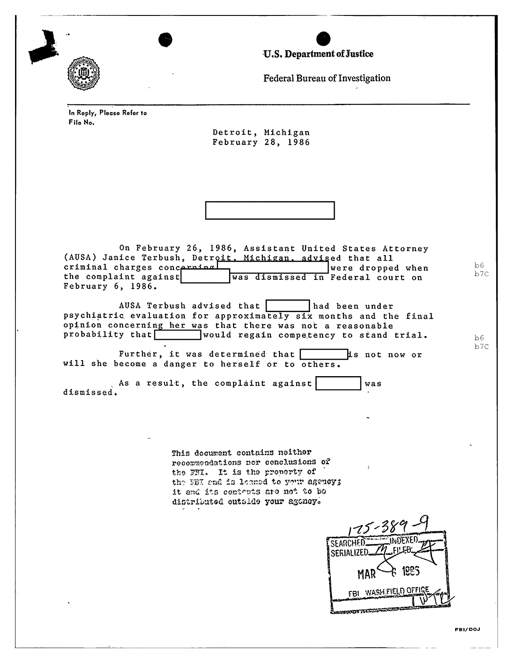U.S. Department of Justice



Federal Bureau of Investigation

In Reply, Please Refer to File No.

> Detroit, Michigan February 28, 1986



On February 26, 1986, Assistant United States Attorney (AUSA) Janice Terbush, Detroit, Michigan, advised that all criminal charges concerning were dropped when the complaint against was dismissed in Federal court on February 6, 1986.

AUSA Terbush advised that had been under psychiatric evaluation for approximately six months and the final opinion concerning her was that there was not a reasonable probability that would regain competency to stand trial.

Further, it was determined that [ is not now or will she become a danger to herself or to others.

 $\Box$  As a result, the complaint against  $\Box$ was dismissed.

> This document contains neither recommendations nor conclusions of the FBI. It is the property of the NBI and is leaned to your agency; it and its contents are not to bo distributed outside your agoney.

SEARCHED SERIALIZED 1085 MAR FBI WASH FIELD OFFIC **MARCH FEEDING** 

 $b6$ 

 $b7c$ 

 $bb6$  $b7c$